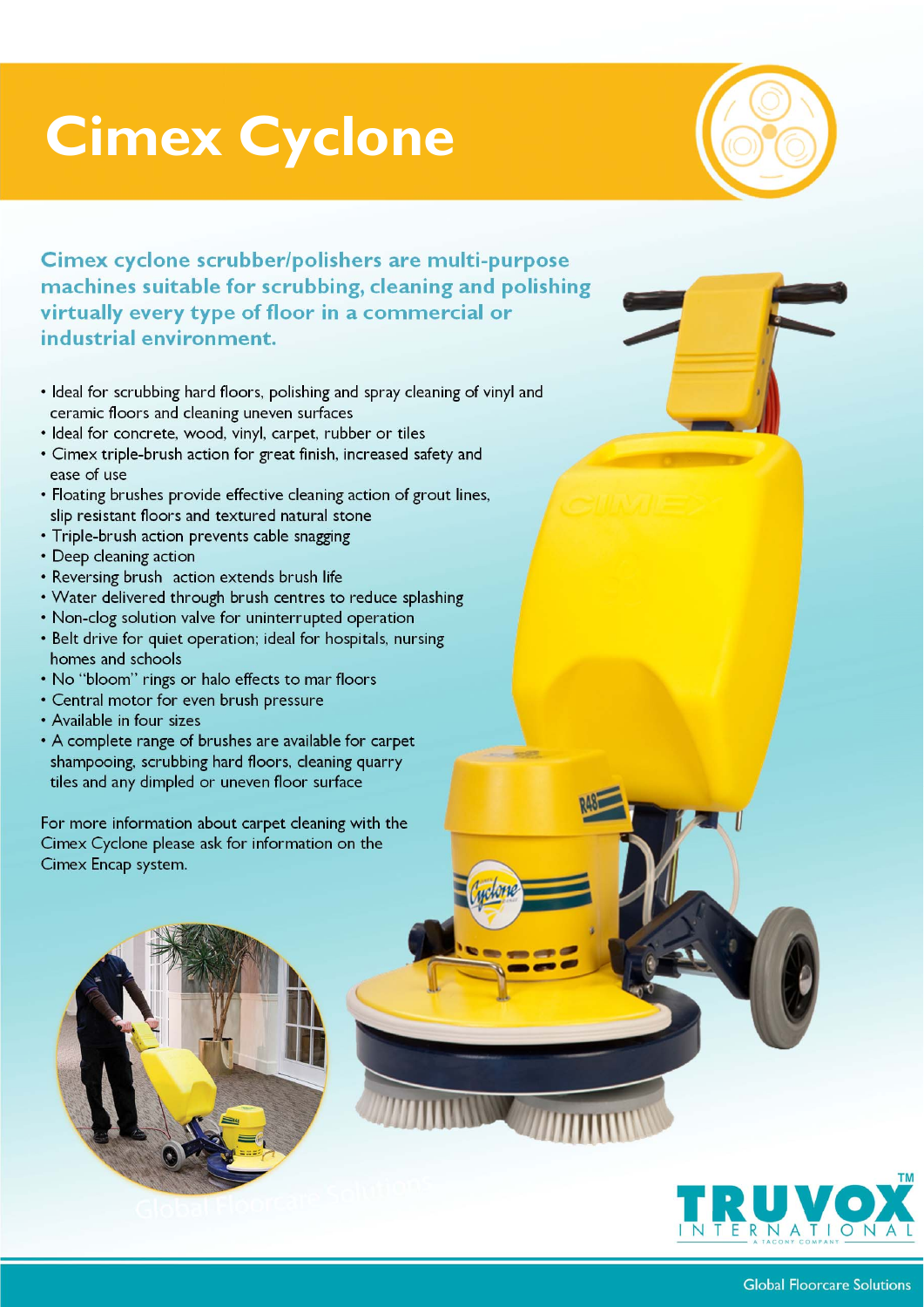## **Cimex Cyclone**



**Cimex cyclone scrubber/polishers are multi-purpose machines suitable for scrubbing, cleaning and polishing virtually every type of floor in a commercial or industrial environment.**

- Ideal for scrubbing hard floors, polishing and spray cleaning of vinyl and ceramic floors and cleaning uneven surfaces
- Ideal for concrete, wood, vinyl, carpet, rubber or tiles
- Cimex triple-brush action for great finish, increased safety and ease of use
- Floating brushes provide effective cleaning action of grout lines, slip resistant floors and textured natural stone
- Triple-brush action prevents cable snagging
- Deep cleaning action
- Reversing brush action extends brush life
- Water delivered through brush centres to reduce splashing
- Non-clog solution valve for uninterrupted operation
- Belt drive for quiet operation; ideal for hospitals, nursing homes and schools
- No "bloom" rings or halo effects to mar floors
- Central motor for even brush pressure
- Available in four sizes
- A complete range of brushes are available for carpet shampooing, scrubbing hard floors, cleaning quarry tiles and any dimpled or uneven floor surface

For more information about carpet cleaning with the Cimex Cyclone please ask for information on the Cimex Encap system.



 $-$